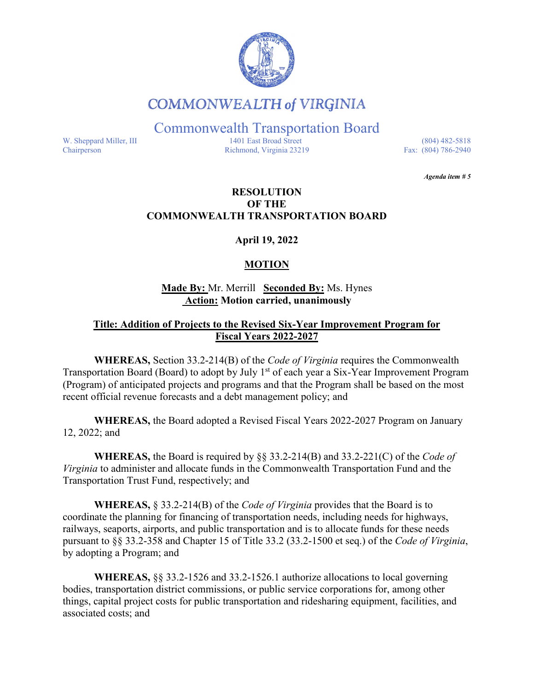

# **COMMONWEALTH of VIRGINIA**

Commonwealth Transportation Board

W. Sheppard Miller, III 1401 East Broad Street (804) 482-5818<br>Chairperson Richmond, Virginia 23219 Fax: (804) 786-2940 Richmond, Virginia 23219

*Agenda item # 5* 

#### **RESOLUTION OF THE COMMONWEALTH TRANSPORTATION BOARD**

**April 19, 2022**

## **MOTION**

#### **Made By:** Mr. Merrill **Seconded By:** Ms. Hynes **Action: Motion carried, unanimously**

#### **Title: Addition of Projects to the Revised Six-Year Improvement Program for Fiscal Years 2022-2027**

**WHEREAS,** Section 33.2-214(B) of the *Code of Virginia* requires the Commonwealth Transportation Board (Board) to adopt by July 1<sup>st</sup> of each year a Six-Year Improvement Program (Program) of anticipated projects and programs and that the Program shall be based on the most recent official revenue forecasts and a debt management policy; and

**WHEREAS,** the Board adopted a Revised Fiscal Years 2022-2027 Program on January 12, 2022; and

**WHEREAS,** the Board is required by §§ 33.2-214(B) and 33.2-221(C) of the *Code of Virginia* to administer and allocate funds in the Commonwealth Transportation Fund and the Transportation Trust Fund, respectively; and

**WHEREAS,** § 33.2-214(B) of the *Code of Virginia* provides that the Board is to coordinate the planning for financing of transportation needs, including needs for highways, railways, seaports, airports, and public transportation and is to allocate funds for these needs pursuant to §§ 33.2-358 and Chapter 15 of Title 33.2 (33.2-1500 et seq.) of the *Code of Virginia*, by adopting a Program; and

**WHEREAS,** §§ 33.2-1526 and 33.2-1526.1 authorize allocations to local governing bodies, transportation district commissions, or public service corporations for, among other things, capital project costs for public transportation and ridesharing equipment, facilities, and associated costs; and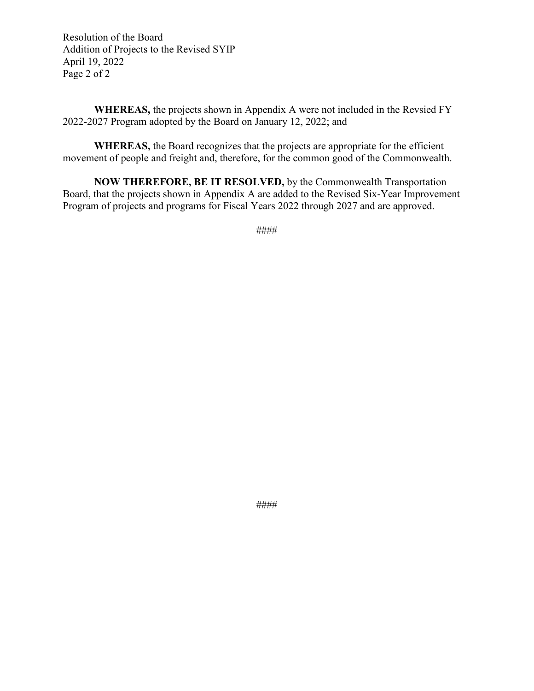Resolution of the Board Addition of Projects to the Revised SYIP April 19, 2022 Page 2 of 2

**WHEREAS,** the projects shown in Appendix A were not included in the Revsied FY 2022-2027 Program adopted by the Board on January 12, 2022; and

**WHEREAS,** the Board recognizes that the projects are appropriate for the efficient movement of people and freight and, therefore, for the common good of the Commonwealth.

**NOW THEREFORE, BE IT RESOLVED,** by the Commonwealth Transportation Board, that the projects shown in Appendix A are added to the Revised Six-Year Improvement Program of projects and programs for Fiscal Years 2022 through 2027 and are approved.

####

####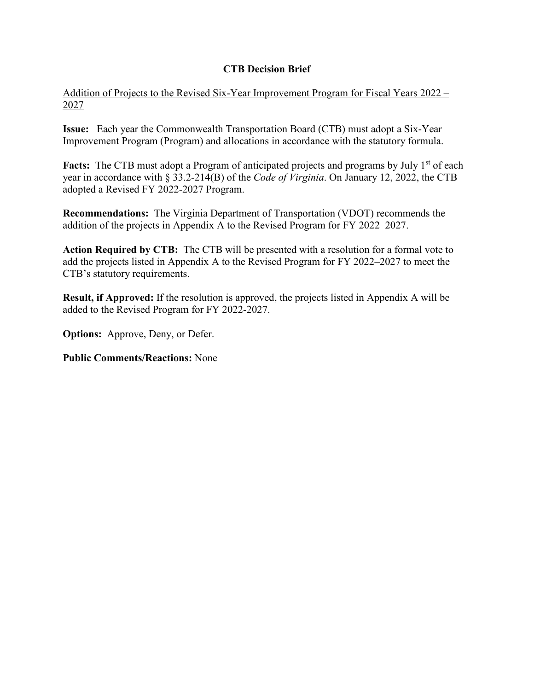### **CTB Decision Brief**

Addition of Projects to the Revised Six-Year Improvement Program for Fiscal Years 2022 – 2027

**Issue:** Each year the Commonwealth Transportation Board (CTB) must adopt a Six-Year Improvement Program (Program) and allocations in accordance with the statutory formula.

**Facts:** The CTB must adopt a Program of anticipated projects and programs by July 1<sup>st</sup> of each year in accordance with § 33.2-214(B) of the *Code of Virginia*. On January 12, 2022, the CTB adopted a Revised FY 2022-2027 Program.

**Recommendations:** The Virginia Department of Transportation (VDOT) recommends the addition of the projects in Appendix A to the Revised Program for FY 2022–2027.

**Action Required by CTB:** The CTB will be presented with a resolution for a formal vote to add the projects listed in Appendix A to the Revised Program for FY 2022–2027 to meet the CTB's statutory requirements.

**Result, if Approved:** If the resolution is approved, the projects listed in Appendix A will be added to the Revised Program for FY 2022-2027.

**Options:** Approve, Deny, or Defer.

**Public Comments/Reactions:** None